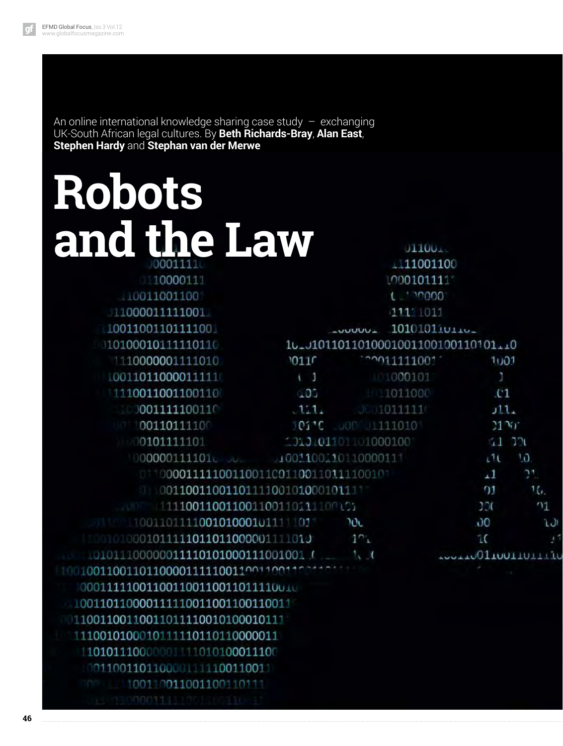An online international knowledge sharing case study  $-$  exchanging UK-South African legal cultures. By **Beth Richards-Bray**, **Alan East**, **Stephen Hardy** and **Stephan van der Merwe**

## **Robots and the Law**

| <b>TOOOOTTT</b>                                           | MOOTOTTTT                                                                                                                                                                                                                                                                                                                                                                          |                |                 |  |
|-----------------------------------------------------------|------------------------------------------------------------------------------------------------------------------------------------------------------------------------------------------------------------------------------------------------------------------------------------------------------------------------------------------------------------------------------------|----------------|-----------------|--|
| 10011001100                                               | $\epsilon$ and $\epsilon$ and $\epsilon$ and $\epsilon$ and $\epsilon$ and $\epsilon$ and $\epsilon$ and $\epsilon$ and $\epsilon$ and $\epsilon$ and $\epsilon$ and $\epsilon$ and $\epsilon$ and $\epsilon$ and $\epsilon$ and $\epsilon$ and $\epsilon$ and $\epsilon$ and $\epsilon$ and $\epsilon$ and $\epsilon$ and $\epsilon$ and $\epsilon$ and $\epsilon$ and $\epsilon$ |                |                 |  |
| 11000011111001                                            | 1111 1011                                                                                                                                                                                                                                                                                                                                                                          |                |                 |  |
| 1001100110111100                                          | 1010101iv                                                                                                                                                                                                                                                                                                                                                                          |                |                 |  |
| $10100010111110110$ $1010101011011010001001100110101110$  |                                                                                                                                                                                                                                                                                                                                                                                    |                |                 |  |
| $110000001111010$ $0110$ $0110$ $0110$ $011111001$ $1001$ |                                                                                                                                                                                                                                                                                                                                                                                    |                |                 |  |
| 10011011000011111                                         |                                                                                                                                                                                                                                                                                                                                                                                    | 1110000101     |                 |  |
| 1110011001100110                                          |                                                                                                                                                                                                                                                                                                                                                                                    | 105 1011000 01 |                 |  |
| $111$ $001111100110$ $111$ $111$ $0111111$ $111$          |                                                                                                                                                                                                                                                                                                                                                                                    |                |                 |  |
| $101100110111100$ $10110$ $1111010$ $1111010$             |                                                                                                                                                                                                                                                                                                                                                                                    |                |                 |  |
| $100101111101$ $1101001101000100$ $110000100$             |                                                                                                                                                                                                                                                                                                                                                                                    |                |                 |  |
|                                                           | 0000001111010 000 0001100010110000111                                                                                                                                                                                                                                                                                                                                              |                | 11 <sup>1</sup> |  |
| 01100001111100110011001100110111100101                    |                                                                                                                                                                                                                                                                                                                                                                                    |                | $\pm 1$         |  |
| 0011001100110111100101000101111                           |                                                                                                                                                                                                                                                                                                                                                                                    |                | $^{01}$         |  |
|                                                           |                                                                                                                                                                                                                                                                                                                                                                                    |                |                 |  |

 $01100 +$ 111001100

> ĨŌ.  $21$ 16. 1 L٦

> > LĩU

| 111100110011001100110111100101                |                   | 100 |  |
|-----------------------------------------------|-------------------|-----|--|
| 100110111100101000101111101                   | 20c               | 00  |  |
| $10000101011111011011000001111011$ $101$      |                   | 10  |  |
| 101011100000011110101000111001001             | AUGUST 0110011011 |     |  |
| 100100110011011000011111001100110011001100110 |                   |     |  |
| 000111110011001100110011011110010             |                   |     |  |
| 1001101100001111110011001100110011            |                   |     |  |
| 011001100110011011110010100010111             |                   |     |  |
|                                               |                   |     |  |

110010100010111110110110000011

110101110000001111010100011100 0011001101100001111100110011

100110011001100110111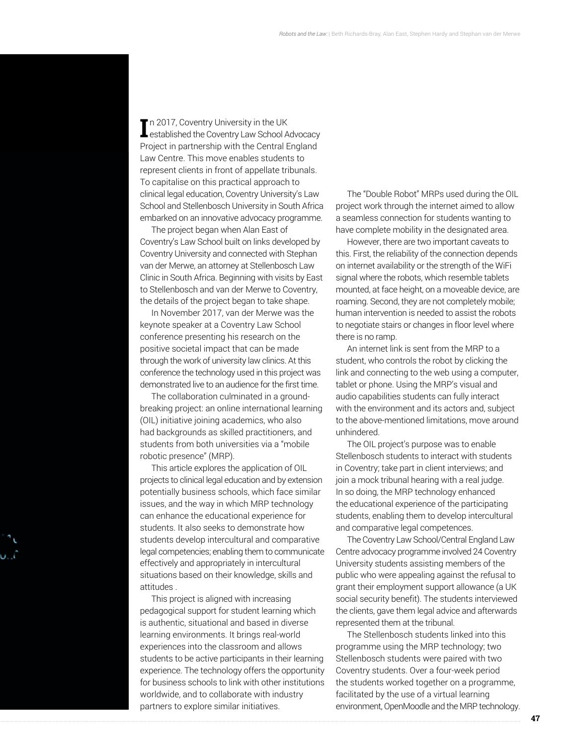In 2017, Coventry University in the UK<br>
Lestablished the Coventry Law School Advocacy n 2017, Coventry University in the UK Project in partnership with the Central England Law Centre. This move enables students to represent clients in front of appellate tribunals. To capitalise on this practical approach to clinical legal education, Coventry University's Law School and Stellenbosch University in South Africa embarked on an innovative advocacy programme.

The project began when Alan East of Coventry's Law School built on links developed by Coventry University and connected with Stephan van der Merwe, an attorney at Stellenbosch Law Clinic in South Africa. Beginning with visits by East to Stellenbosch and van der Merwe to Coventry, the details of the project began to take shape.

In November 2017, van der Merwe was the keynote speaker at a Coventry Law School conference presenting his research on the positive societal impact that can be made through the work of university law clinics. At this conference the technology used in this project was demonstrated live to an audience for the first time.

The collaboration culminated in a groundbreaking project: an online international learning (OIL) initiative joining academics, who also had backgrounds as skilled practitioners, and students from both universities via a "mobile robotic presence" (MRP).

This article explores the application of OIL projects to clinical legal education and by extension potentially business schools, which face similar issues, and the way in which MRP technology can enhance the educational experience for students. It also seeks to demonstrate how students develop intercultural and comparative legal competencies; enabling them to communicate effectively and appropriately in intercultural situations based on their knowledge, skills and attitudes .

This project is aligned with increasing pedagogical support for student learning which is authentic, situational and based in diverse learning environments. It brings real-world experiences into the classroom and allows students to be active participants in their learning experience. The technology offers the opportunity for business schools to link with other institutions worldwide, and to collaborate with industry partners to explore similar initiatives.

The "Double Robot" MRPs used during the OIL project work through the internet aimed to allow a seamless connection for students wanting to have complete mobility in the designated area.

However, there are two important caveats to this. First, the reliability of the connection depends on internet availability or the strength of the WiFi signal where the robots, which resemble tablets mounted, at face height, on a moveable device, are roaming. Second, they are not completely mobile; human intervention is needed to assist the robots to negotiate stairs or changes in floor level where there is no ramp.

An internet link is sent from the MRP to a student, who controls the robot by clicking the link and connecting to the web using a computer, tablet or phone. Using the MRP's visual and audio capabilities students can fully interact with the environment and its actors and, subject to the above-mentioned limitations, move around unhindered.

The OIL project's purpose was to enable Stellenbosch students to interact with students in Coventry; take part in client interviews; and join a mock tribunal hearing with a real judge. In so doing, the MRP technology enhanced the educational experience of the participating students, enabling them to develop intercultural and comparative legal competences.

The Coventry Law School/Central England Law Centre advocacy programme involved 24 Coventry University students assisting members of the public who were appealing against the refusal to grant their employment support allowance (a UK social security benefit). The students interviewed the clients, gave them legal advice and afterwards represented them at the tribunal.

The Stellenbosch students linked into this programme using the MRP technology; two Stellenbosch students were paired with two Coventry students. Over a four-week period the students worked together on a programme, facilitated by the use of a virtual learning environment, OpenMoodle and the MRP technology.

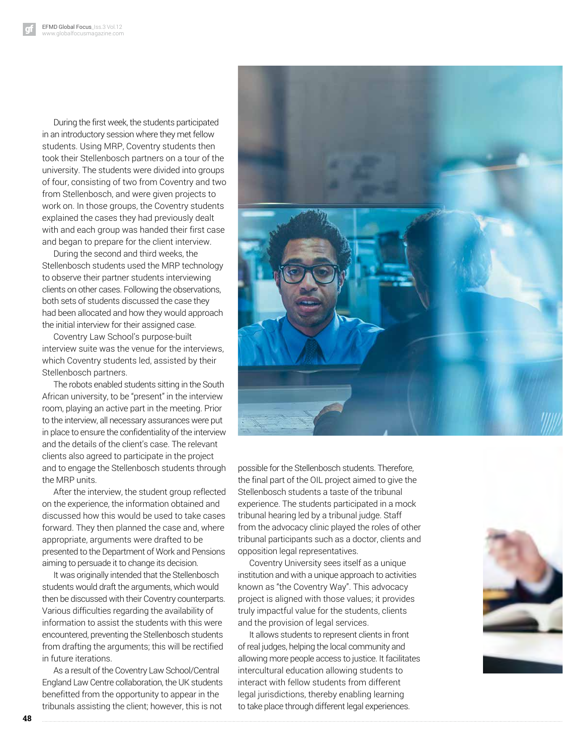During the first week, the students participated in an introductory session where they met fellow students. Using MRP, Coventry students then took their Stellenbosch partners on a tour of the university. The students were divided into groups of four, consisting of two from Coventry and two from Stellenbosch, and were given projects to work on. In those groups, the Coventry students explained the cases they had previously dealt with and each group was handed their first case and began to prepare for the client interview.

During the second and third weeks, the Stellenbosch students used the MRP technology to observe their partner students interviewing clients on other cases. Following the observations, both sets of students discussed the case they had been allocated and how they would approach the initial interview for their assigned case.

Coventry Law School's purpose-built interview suite was the venue for the interviews, which Coventry students led, assisted by their Stellenbosch partners.

The robots enabled students sitting in the South African university, to be "present" in the interview room, playing an active part in the meeting. Prior to the interview, all necessary assurances were put in place to ensure the confidentiality of the interview and the details of the client's case. The relevant clients also agreed to participate in the project and to engage the Stellenbosch students through the MRP units.

After the interview, the student group reflected on the experience, the information obtained and discussed how this would be used to take cases forward. They then planned the case and, where appropriate, arguments were drafted to be presented to the Department of Work and Pensions aiming to persuade it to change its decision.

It was originally intended that the Stellenbosch students would draft the arguments, which would then be discussed with their Coventry counterparts. Various difficulties regarding the availability of information to assist the students with this were encountered, preventing the Stellenbosch students from drafting the arguments; this will be rectified in future iterations.

As a result of the Coventry Law School/Central England Law Centre collaboration, the UK students benefitted from the opportunity to appear in the tribunals assisting the client; however, this is not



experience. The students participated in a mock tribunal hearing led by a tribunal judge. Staff from the advocacy clinic played the roles of other tribunal participants such as a doctor, clients and opposition legal representatives.

Coventry University sees itself as a unique institution and with a unique approach to activities known as "the Coventry Way". This advocacy project is aligned with those values; it provides truly impactful value for the students, clients and the provision of legal services.

It allows students to represent clients in front of real judges, helping the local community and allowing more people access to justice. It facilitates intercultural education allowing students to interact with fellow students from different legal jurisdictions, thereby enabling learning to take place through different legal experiences.